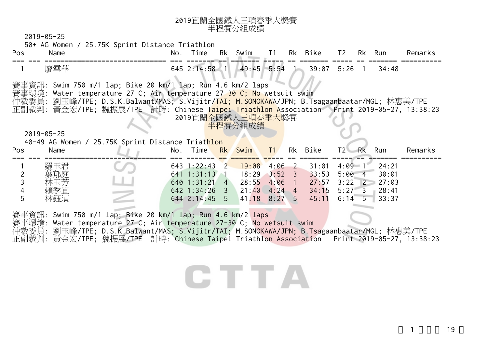## <sup>2019</sup>宜蘭全國鐵人三項春季大獎賽 半程賽分組成績

2019-05-25

50+ AG Women / 25.75K Sprint Distance Triathlon

| Pos   | Name      | Νo | $ \cdot$<br>ıme | Rk | ım<br>$\sim$ $\mathcal{M}$      | --        | Rk | $D \div I$<br>17 Z   | $\mathbf{\tau}$ | Rk | Rur       | ≀ema<br>в.    |
|-------|-----------|----|-----------------|----|---------------------------------|-----------|----|----------------------|-----------------|----|-----------|---------------|
| $- -$ | _________ |    |                 | __ |                                 |           |    |                      |                 |    |           | ------<br>___ |
|       | 廖ダ        | ∼  |                 |    | $\Delta$ <sup>c</sup><br>$\sim$ | 5.54<br>. |    | $\cap$<br>39.07<br>ັ | ิวค<br>. .      |    | 34<br>:48 |               |

賽事資訊: Swim 750 m/1 lap; Bike 20 km/1 lap; Run 4.6 km/2 laps

賽事環境: Water temperature 27 C; Air temperature 27-30 C; No wetsuit swim

仲裁委員: 劉玉峰/TPE; D.S.K.Balwant/MAS; S.Vijitr/TAI; M.SONOKAWA/JPN; B.Tsagaanbaatar/MGL; 林惠美/TPE 正副裁判: 黃金宏/TPE; 魏振展/TPE 計時: Chinese Taipei Triathlon Association Print 2019-05-27, 13:38:23 2019宜蘭全國鐵人三項春季大獎賽

半程賽分組成績

2019-05-25

|     |      | 40-49 AG Women / 25.75K Sprint Distance Triathlon |     |                 |                              |    |         |                            |       |         |
|-----|------|---------------------------------------------------|-----|-----------------|------------------------------|----|---------|----------------------------|-------|---------|
| Pos | Name |                                                   | No. | Time            | Rk Swim                      | T1 | Rk Bike | T2<br>-Rk                  | Run   | Remarks |
|     |      |                                                   |     |                 |                              |    |         |                            |       |         |
|     | 羅玉君  |                                                   |     | $643$ 1:22:43 2 | $19:08$ 4:06 2               |    | 31:01   | $4:09 \quad 1$             | 24:21 |         |
|     | 葉郁庭  |                                                   |     | 641 1:31:13 1   | $18:29$ $3:52$ 3             |    | 33:53   | $5:00 \t 4$                | 30:01 |         |
|     | 林玉芳  |                                                   |     | $640$ 1:31:21 4 | $28:55$ 4:06 1               |    |         | $27:57$ $3:22$ $2$ $27:03$ |       |         |
|     |      |                                                   |     | $642$ 1:34:26 3 | $21:40 \quad 4:24 \quad 4$   |    |         | $34:15$ 5:27 3 28:41       |       |         |
|     | 林鈺湞  |                                                   |     |                 | $644$ 2:14:45 5 41:18 8:27 5 |    |         | $45:11$ 6:14 5 33:37       |       |         |

賽事資訊: Swim 750 m/1 lap; Bike 20 km/1 lap; Run 4.6 km/2 laps 賽事環境: Water temperature 27 C; Air temperature 27-30 C; No wetsuit swim 仲裁委員: 劉玉峰/TPE; D.S.K.Balwant/MAS; S.Vijitr/TAI; M.SONOKAWA/JPN; B.Tsagaanbaatar/MGL; 林惠美/TPE

正副裁判: 黃金宏/TPE; 魏振展/TPE 計時: Chinese Taipei Triathlon Association Print 2019-05-27, 13:38:23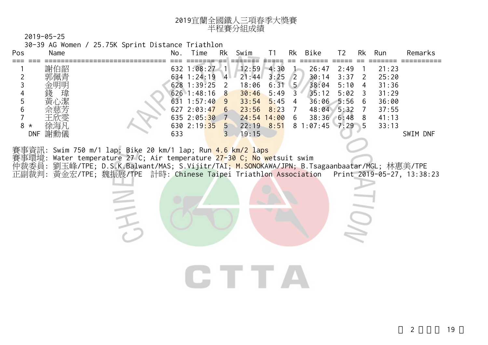| 2019宜蘭全國鐵人三項春季大獎賽 |
|-------------------|
| 半程賽分組成績           |

30-39 AG Women / 25.75K Sprint Distance Triathlon

三千

| Pos                                                                                                                                                                                          | Name              |                                                             | No. | Time                | Rk             | Swim           | Τ1   | Rk             | Bike          | T <sub>2</sub> | Rk            | Run   | Remarks  |
|----------------------------------------------------------------------------------------------------------------------------------------------------------------------------------------------|-------------------|-------------------------------------------------------------|-----|---------------------|----------------|----------------|------|----------------|---------------|----------------|---------------|-------|----------|
|                                                                                                                                                                                              | 謝伯韶               |                                                             |     | 632 1:08:27         | -411           | 12:59          | 4:30 |                | 26:47         | 2:49           |               | 21:23 |          |
|                                                                                                                                                                                              | 郭佩青               |                                                             |     | $634$ 1:24:19       | $\overline{4}$ | 21:44          | 3:25 | $\sqrt{2}$     | 30:14         | 3:37           | $\mathcal{L}$ | 25:20 |          |
|                                                                                                                                                                                              | 金明明               |                                                             |     | $628$ 1:39:25 2     |                | 18:06          | 6:31 | 5 <sup>7</sup> | 38:04         | 5:10           | -4            | 31:36 |          |
|                                                                                                                                                                                              | 錢<br>瑋            |                                                             |     | $626$ 1:48:16 8     |                | 30:46          | 5:49 | $\overline{3}$ | 35:12         | 5:02           | 3             | 31:29 |          |
|                                                                                                                                                                                              | 黃心潔               |                                                             |     | $631 \t1:57:40 \t9$ |                | 33:54          | 5:45 | 4              | $36:06$ 5:56  |                | -6            | 36:00 |          |
|                                                                                                                                                                                              | 佘慈芳               |                                                             |     | 627, 2:03:47, 6     |                | 23:56          | 8:23 |                | 48:04 5:32    |                |               | 37:55 |          |
|                                                                                                                                                                                              | 王欣雯               |                                                             |     | $635$ 2:05:30       | 7              | $24:54$ 14:00  |      | 6              | 38:36         | $6:48$ 8       |               | 41:13 |          |
| 8<br>$\star$                                                                                                                                                                                 | 徐海凡               |                                                             |     | $630$ 2:19:35 5     |                | $22:19$ $8:51$ |      |                | 81:07:457:295 |                |               | 33:13 |          |
|                                                                                                                                                                                              | 謝勳儀<br><b>DNF</b> |                                                             | 633 |                     | $\mathcal{E}$  | 19:15          |      |                |               |                |               |       | SWIM DNF |
|                                                                                                                                                                                              |                   |                                                             |     |                     |                |                |      |                |               |                |               |       |          |
|                                                                                                                                                                                              |                   | 賽事資訊: Swim 750 m/1 lap; Bike 20 km/1 lap; Run 4.6 km/2 laps |     |                     |                |                |      |                |               |                |               |       |          |
| 賽事環境: Water temperature 27 C; Air temperature <mark>27-30 C; No we</mark> tsuit swim<br>仲裁委員: 劉玉峰/TPE; D.S.K.Balwant/MAS; S.Vijitr/TAI; <u>M.SONO</u> KAWA/JPN; B.Tsagaanbaatar/MGL; 林惠美/TPE |                   |                                                             |     |                     |                |                |      |                |               |                |               |       |          |

正副裁判: 黃金宏/TPE; 魏振展/TPE 計時: Chinese Taipei Triathlon Association Print 2019-05-27, 13:38:23

CTTA

J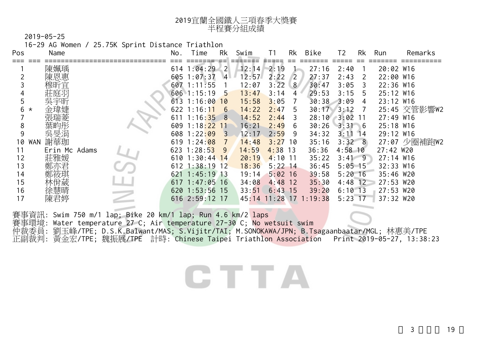| 2019宜蘭全國鐵人三項春季大獎賽 |
|-------------------|
| 半程賽分組成績           |

16-29 AG Women / 25.75K Sprint Distance Triathlon

| Pos | Name              | No.   | Time              | Rk                | Swim  | T1        | Rk  | Bike               | Τ2         | Rk   | Run         | Remarks      |
|-----|-------------------|-------|-------------------|-------------------|-------|-----------|-----|--------------------|------------|------|-------------|--------------|
|     | 陳姵瑀               |       | 614 1:04:29       | $\overline{2}$    | 12:14 | 2:19      |     | 27:16              | 2:40       |      | 20:02 W16   |              |
|     | 陳恩惠               | 605   | 1:07:37           | 4 <sup>1</sup>    | 12:57 | 2:22      | 2   | 27:37              | 2:43       |      | 22:00 W16   |              |
|     | 穆昕官               | 607   | : 11:55           |                   | 12:07 | 3:22      | 8   | 30:47              | 3:05       |      | 22:36 W16   |              |
|     |                   |       | 606 1:15:19       | 5                 | 13:47 | 3:14      |     | 29:53              | 3:15       | 5    | 25:12 W16   |              |
|     | 吳宇昕               | 613 1 | :16:00            | 10                | 15:58 | 3:05      |     | 30:38              | 3:09       | 4    | 23:12 W16   |              |
| 6   | $^\star$          | 622 1 | : 16:11           | 6                 | 14:22 | 2:47      | 5   | $30:17$ $3:12$     |            |      |             | 25:45 交管影響W2 |
|     |                   | 611   | : 16:35           | -8                | 14:52 | 2:44      |     | 28:10              | 3:02       | -11  | $27:49$ W16 |              |
| 8   |                   | 609   | : 18:22           | 11                | 16:21 | 2:49      | 6   | 30:26              | 3:31       | $-6$ | 25:18 W16   |              |
| 9   | 吳旻涓               | 608   | 1:22:09           | 3                 | 12:17 | 2:59      | 9   | 34:32              | 3:11       | 14   | 29:12 W16   |              |
| 10  | 謝華珈<br><b>WAN</b> |       | $619$ 1:24:08     |                   | 14:48 | 3:27      | -10 | 35:16              | $3:32 \ 8$ |      |             | 27:07 少圈補跑W2 |
| 11  | Erin Mc Adams     |       | $623$ 1:28:53     | 9                 | 14:59 | $4:38$ 13 |     | 36:36              | $4:58$ 10  |      | 27:42 W20   |              |
| 12  | 莊雅媛               |       | $610$ 1:30:44     | 14                | 20:19 | $4:10$ 11 |     | 35:22              | $3:41 \ 9$ |      | $27:14$ W16 |              |
| 13  |                   |       | $612 \ \ 1:38:19$ | $12 \overline{ }$ | 18:36 | $5:22$ 14 |     | 36:45              | $5:05$ 15  |      | 32:33 W16   |              |
| 14  |                   | 621   | 1:45:19           | 13                | 19:14 | $5:02$ 16 |     | 39:58              | $5:20$ 16  |      | 35:46 W20   |              |
| 15  |                   | 617   | 1:47:05           | 16                | 34:08 | $4:48$ 12 |     | 35:30              | $4:48$ 12  |      | 27:53 W20   |              |
| 16  |                   | 620   | 1:53:56           | -15               | 33:51 | $6:43$ 15 |     | 39:20              | $6:10$ 13  |      | 27:53       | W20          |
| 17  |                   |       | $616$ 2:59:12     | -17               | 45:14 |           |     | $11:28$ 17 1:19:38 | 5:23       | -17  | 37:32 W20   |              |
|     |                   |       |                   |                   |       |           |     |                    |            |      |             |              |

賽事資訊: Swim 750 m/1 lap; Bike 20 km/1 lap; Run 4.6 km/2 laps 賽事環境: Water temperature 27 C; Air temperature 27-30 C; No wetsuit swim 仲裁委員: 劉玉峰/TPE; D.S.K.Balwant/MAS; S.Vijitr/TAI; M.SONOKAWA/JPN; B.Tsagaanbaatar/MGL; 林惠美/TPE 正副裁判: 黃金宏/TPE; 魏振展/TPE 計時: Chinese Taipei Triathlon Association - Print 2019-05-27, 13:38:23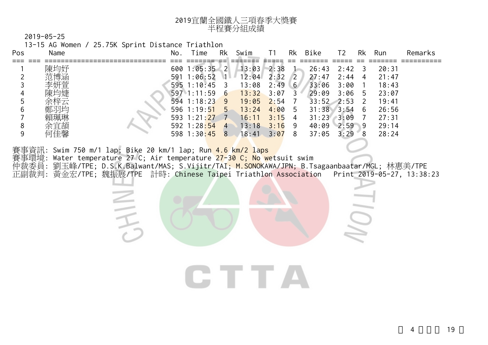| 2019宜蘭全國鐵人三項春季大獎賽 |
|-------------------|
| 半程賽分組成績           |

13-15 AG Women / 25.75K Sprint Distance Triathlon

| Pos | Name              | No. | ime                                           | Rk                  | Swim                    |                      | Rk                                | Bike                             | T2                   | Rk                  | Run                     | Remarks |
|-----|-------------------|-----|-----------------------------------------------|---------------------|-------------------------|----------------------|-----------------------------------|----------------------------------|----------------------|---------------------|-------------------------|---------|
|     | 陳均妤               |     | 600 1:05:35 2                                 |                     | 13:03                   | 2:38                 |                                   | 26:43                            | 2:42                 | 3                   | 20:31                   |         |
|     | 范博涵<br>李妍萱<br>陳均婕 | 591 | 1:06:52<br>$595 \t1:10:45$<br>$597 \t1:11:59$ | MЕ<br>- 3<br>6      | 12:04<br>13:08<br>13:32 | 2:32<br>2:49<br>3:07 | $\sqrt{2}$<br>6 <sup>1</sup><br>3 | 27:47<br>33:06<br>29:09          | 2:44<br>3:00<br>3:06 | 4<br>5              | 21:47<br>18:43<br>23:07 |         |
| b   | 余梓云<br>鄭羽均        |     | 594 1:18:23<br>$596$ 1:19:51                  | $\sqrt{9}$<br>$5 -$ | 19:05<br>13:24          | 2:54<br>4:00         | 5                                 | $33:52$ $2:53$<br>$31:38$ $3:54$ |                      | $\mathcal{L}$<br>-6 | 19:41<br>26:56          |         |
| Ο   | 賴珮琳<br>余宜頡        |     | 593 1:21:27<br>592 1:28:54                    | $\overline{4}$      | 16:11<br>13:18          | 3:15<br>3:16         | 4<br>9                            | 31:23<br>40:09                   | 3:09<br>$2:59$ 9     |                     | 27:31<br>29:14          |         |
|     | 可佳馨               |     | 598 1:30:45                                   | 8                   | 18:41                   | 3:07                 | 8                                 | 37:05                            | 3:29                 | 8                   | 28:24                   |         |

賽事資訊: Swim 750 m/1 lap; Bike 20 km/1 lap; Run 4.6 km/2 laps

三千

賽事環境: Water temperature 27 C; Air temperature 27-30 C; No wetsuit swim

仲裁委員: 劉玉峰/TPE; D.S.K.Balwant/MAS; S.Vijitr/TAI; M.SONOKAWA/JPN; B.Tsagaanbaatar/MGL; 林惠美/TPE 正副裁判: 黃金宏/TPE; 魏振展/TPE 計時: Chinese Taipei Triathlon Association Print 2019-05-27, 13:38:23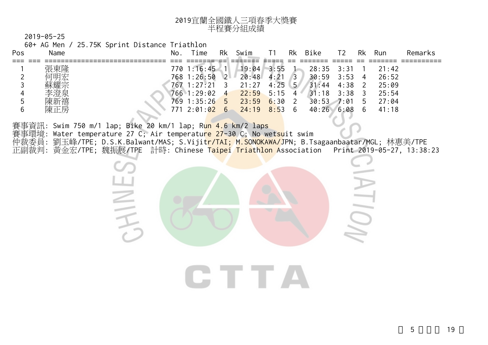| 2019宜蘭全國鐵人三項春季大獎賽 |
|-------------------|
| 半程賽分組成績           |

60+ AG Men / 25.75K Sprint Distance Triathlon

**HINE** 

| Pos | Name     | No. | ime         | Rk             | Swim  |      | Rk              | <b>Bike</b>    | Τ2   | Rk | Run   | Remarks |
|-----|----------|-----|-------------|----------------|-------|------|-----------------|----------------|------|----|-------|---------|
|     |          |     |             |                |       |      |                 |                |      |    |       |         |
|     | 張東隆      |     | 770 1:16:45 |                | 19:04 | 3:55 |                 | $28:35$ $3:31$ |      |    | 21:42 |         |
|     | 何明宏      |     | 768 1:26:50 | $2^{\circ}$    | 20:48 | 4:21 | $\overline{3}$  | 30:59          | 3:53 |    | 26:52 |         |
|     | 蘇耀宗      |     | 767 1:27:21 |                | 21:27 | 4:25 | .5 <sub>1</sub> | 31:44          | 4:38 |    | 25:09 |         |
|     | 李澄泉      |     | 766 1:29:02 | $\overline{4}$ | 22:59 | 5:15 | 4               | 31:18          | 3:38 |    | 25:54 |         |
|     | 陳新禧      |     | 769 1:35:26 | $-5$           | 23:59 | 6:30 |                 | $30:53$ 7:01   |      | 5  | 27:04 |         |
|     | 扂<br>陳正, | 771 | 2:01:02     | 6              | 24:19 | 8:53 | 6               | 40:26          | 6:08 | h  | 41:18 |         |

賽事資訊: Swim 750 m/1 lap; Bike 20 km/1 lap; Run 4.6 km/2 laps 賽事環境: Water temperature 27 C; Air temperature 27-30 C; No wetsuit swim 仲裁委員: 劉玉峰/TPE; D.S.K.Balwant/MAS; S.Vijit<mark>r/TAI; M.SONOKAWA/J</mark>PN; B.Tsagaanbaatar/MGL; 林惠美/TPE 正副裁判: 黃金宏/TPE; 魏振展/TPE 計時: Chinese <mark>Taipei Triathlon A</mark>ssociation Print 2019-05-27, 13:38:23

CTTA

 $\sum$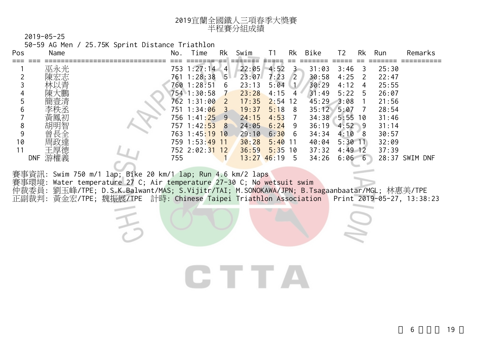| 2019宜蘭全國鐵人三項春季大獎賽 |
|-------------------|
| 半程賽分組成績           |

50-59 AG Men / 25.75K Sprint Distance Triathlon

| Pos | Name              | No. | Time                      | Rk             | Swim  |       | Rk         | Bike  | Τ2        | Rk            | Run   | Remarks        |
|-----|-------------------|-----|---------------------------|----------------|-------|-------|------------|-------|-----------|---------------|-------|----------------|
|     |                   |     |                           |                |       |       |            |       |           |               |       |                |
|     | 巫永光               |     | 753 1:27:14               | $\overline{4}$ | 22:05 | 4:52  |            | 31:03 | 3:46      | 3             | 25:30 |                |
|     | 陳宏志               | 761 | 1:28:38                   | 5 <sup>1</sup> | 23:07 | 7:23  | $\sqrt{2}$ | 30:58 | 4:25      | $\mathcal{L}$ | 22:47 |                |
|     | 林以青               | 760 | 1:28:51                   | 6              | 23:13 | 5:04  |            | 30:29 | 4:12      | 4             | 25:55 |                |
|     | 陳大鵬               |     | 754 1:30:58               |                | 23:28 | 4:15  | 4          | 31:49 | 5:22      | 5             | 26:07 |                |
|     | 簡壹清               |     | 762 1:31:00               | - 2            | 17:35 | 2:54  | 12         | 45:29 | $-3:08$   |               | 21:56 |                |
| 6   |                   |     | 751 1:34:06               | -3             | 19:37 | 5:18  | 8          | 35:12 | 5:07      |               | 28:54 |                |
|     | 黃鳳初               |     | 756 1:41: <mark>25</mark> | -9.            | 24:15 | 4:53  |            | 34:38 | $5:55$ 10 |               | 31:46 |                |
| 8   | 胡明智               |     | 757 1:42:53               | 8              | 24:05 | 6:24  | 9          | 36:19 | $4:52$ 9  |               | 31:14 |                |
| 9   | 長全<br>曾           |     | 763 1:45:19               | 10             | 29:10 | 6:30  | 6          | 34:34 | 4:10      | 8             | 30:57 |                |
| 10  | 周政達               |     | 759 1:53:49               | -11            | 30:28 | 5:40  | 11         | 40:04 | $5:30$ 11 |               | 32:09 |                |
|     | 王厚德               |     | 752 2:02:31               | 12             | 36:59 | 5:35  | 10         | 37:32 | $4:49$ 12 |               | 37:39 |                |
|     | 游權義<br><b>DNF</b> | 755 |                           |                | 13:27 | 46:19 | 5          | 34:26 | 6:066     |               |       | 28:37 SWIM DNF |

賽事資訊: Swim 750 m/1 lap; Bike 20 km/1 lap; Run 4.6 km/2 laps 賽事環境: Water temperature 27 C; Air temperature 27-30 C; No wetsuit swim 仲裁委員: 劉玉峰/TPE; D.S.K.Balwant/MAS; S.Vijitr/TAI; M.SO<mark>NOKAWA/JPN; B.Tsagaanbaatar/MGL; 林惠美/TPE</mark> 正副裁判: 黃金宏/TPE; 魏振展/TPE 計時: Chinese Taipei Triathlon Association Print 2019-05-27, 13:38:23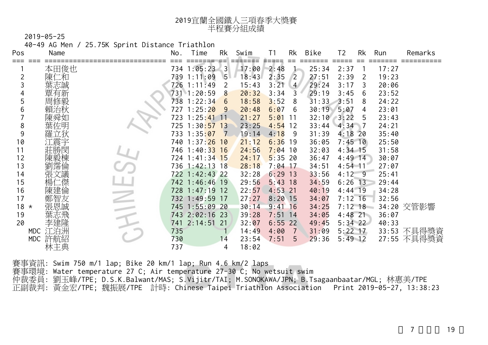| 2019宜蘭全國鐵人三項春季大獎賽 |
|-------------------|
| 半程賽分組成績           |

40-49 AG Men / 25.75K Sprint Distance Triathlon

| Pos | Name              | No. | Time                      | Rk           | Swim  | Τ1        | Rk             | Bike  | T <sub>2</sub> | Rk             | Run   | Remarks     |
|-----|-------------------|-----|---------------------------|--------------|-------|-----------|----------------|-------|----------------|----------------|-------|-------------|
|     | 本田俊也              |     | 734 1:05:23               | $\mathbf{3}$ | 17:00 | 2:48      |                | 25:34 | 2:37           |                | 17:27 |             |
|     | 二和<br>陳1          |     | 739 1:11:09               | $5-$         | 18:43 | 2:35      | 2              | 27:51 | 2:39           | 2              | 19:23 |             |
|     | 葉志誠               |     | 726 1:11:49               | 2            | 15:43 | 3:21      | $\overline{4}$ | 29:24 | 3:17           | 3              | 20:06 |             |
|     | 覃<br>有新           |     | 731 1:20:59               | 8            | 20:32 | 3:34      | 3              | 29:19 | 3:45           | 6              | 23:52 |             |
|     | 周修毅               |     | 738 1:22:34               | 6            | 18:58 | 3:52      | 8              | 31:33 | 3:51           | 8              | 24:22 |             |
| 6   | 治秋                |     | 727 1:25:2 <mark>0</mark> | <u>9</u>     | 20:48 | 6:07      | 6              | 30:19 | 5:07           | 4              | 23:01 |             |
|     | 陳舜如               |     | 723 1:25: <mark>41</mark> | $\sqrt{11}$  | 21:27 | 5:01      | 11             | 32:10 | 3:22           | 5              | 23:43 |             |
| 8   | 佐明                | 725 | 1:30:57                   | 13           | 23:25 | 4:54      | 12             | 33:44 | 4:34           | $\blacksquare$ | 24:21 |             |
| 9   | 立狄                |     | 733 1:35:07               |              | 19:14 | 4:18      | 9              | 31:39 | $4:18$ 20      |                | 35:40 |             |
| 10  |                   |     | 740 1:37:26               | 10           | 21:12 | 6:36      | 19             | 36:05 | $7:45$ 10      |                | 25:50 |             |
| 11  | 勝閔                |     | 746 1:40:33               | 16           | 24:56 | 7:04      | 10             | 32:03 | $4:34$ 15      |                | 31:58 |             |
| 12  | 陳毅棟               |     | 724 1:41:34               | $\sqrt{15}$  | 24:17 | 5:35      | 20             | 36:47 | $4:49$ 14      |                | 30:07 |             |
| 13  | [霈倫               |     | 736 1:42:13               | 18           | 28:18 | $7:04$ 17 |                | 34:51 | $4:54$ 11      |                | 27:07 |             |
| 14  | 〔議                |     | 722 1:42:43               | 22           | 32:28 | 6:29      | 13             | 33:56 | $4:12-$        | -9             | 25:41 |             |
| 15  | 、傑                |     | 742 1:46:46               | 19           | 29:56 | 5:43      | 18             | 34:59 | $6:26$ 13      |                | 29:44 |             |
| 16  | 陳建倫               |     | 728 1:47:19               | 12           | 22:57 | 4:53      | 21             | 40:19 | $4:44$ 19      |                | 34:28 |             |
| 17  |                   |     | 732 1:49:59               | -17          | 27:27 | $8:20$ 15 |                | 34:07 | $7:12$ 16      |                | 32:56 |             |
| 18  | 張恩誠<br>$^\star$   |     | 745 1:55:09               | 20           | 30:14 | 9:41      | 16             | 34:25 | $7:12$ 18      |                |       | 34:20 交管影響  |
| 19  |                   |     | 743 2:02:16               | 23           | 39:28 | 7:51      | 14             | 34:05 | $4:48$ 21      |                | 36:07 |             |
| 20  |                   |     | 741 2:14:51               | 21           | 32:07 | 6:55      | 22             | 49:45 | $5:34$ 22      |                | 40:33 |             |
|     | MDC 江泊洲           | 735 |                           |              | 14:49 | 4:00      | 7              | 31:09 | $5:22$ 17      |                |       | 33:53 不具得獎資 |
|     | <b>MDC</b><br>許航紹 | 730 |                           | 14           | 23:54 | 7:51      | 5              | 29:36 | $5:49$ 12      |                |       | 27:55 不具得獎資 |
|     | 林王典               | 737 |                           | 4            | 18:02 |           |                |       |                |                |       |             |

賽事資訊: Swim 750 m/1 lap; Bike 20 km/1 lap; Run 4.6 km/2 laps 賽事環境: Water temperature 27 C; Air temperature 27-30 C; No wetsuit swim 仲裁委員: 劉玉峰/TPE; D.S.K.Balwant/MAS; S.Vijitr/TAI; M.SONOKAWA/JPN; B.Tsagaanbaatar/MGL; 林惠美/TPE 正副裁判: 黃金宏/TPE; 魏振展/TPE 計時: Chinese Taipei Triathlon Association Print 2019-05-27, 13:38:23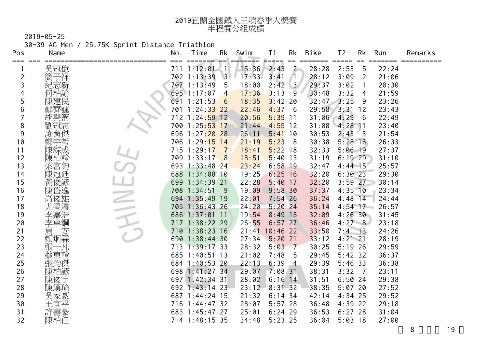| 2019宜蘭全國鐵人三項春季大獎賽 |
|-------------------|
| 半程賽分組成績           |

30-39 AG Men / 25.75K Sprint Distance Triathlon

| Pos | Name    | No. | Time                      | Rk                 | Swim             | T <sub>1</sub> | Rk             | Bike          | T <sub>2</sub>              | Rk                         | Run   | Remarks |
|-----|---------|-----|---------------------------|--------------------|------------------|----------------|----------------|---------------|-----------------------------|----------------------------|-------|---------|
| === | 吳冠億     |     | =====<br>711 1:12:01      | 드디<br>$\mathbf{1}$ | =======<br>15:36 | 로드라드드<br>2:43  | $==$<br>$2 -$  | ====<br>28:28 | $=$ $=$ $=$ $=$ $=$<br>2:53 | $==$<br>5                  | 22:24 |         |
| 2   | 子祥<br>簡 |     | 702 1:13:39               | $\overline{3}$     | 17:33            | 3:41           |                | 28:12         | 3:09                        | 2                          | 21:06 |         |
| 3   | 紀志新     |     | 707 1:13:49               | -5                 | 18:00            | 2:42           | 3 <sup>7</sup> | 29:37         | 3:02                        | 1                          | 20:30 |         |
| 4   | 何柏諭     |     | 695 1:17:07               | $\overline{4}$     | 17:36            | 3:13           | 9              | 30:48         | 3:32                        | 4                          | 21:59 |         |
| 5   | 陳建民     |     | 691 1:21:53               | 6                  | 18:35            | 3:42           | 20             | 32:47         | 3:25                        | 9                          | 23:26 |         |
| 6   |         |     | 701 1:24:33 22            |                    | 22:46            | 4:37           | 6              | 29:58         | 3:31                        | 12                         | 23:43 |         |
|     |         |     | 712 1:24: <mark>59</mark> | 12                 | 20:56            | 5:39           | -11            | 31:06         | 4:29                        | 6                          | 22:49 |         |
| 8   | 旭心      | 700 | 1:25:53                   | 17                 | 21:44            | 4:55           | 12             | 31:08         | $4:28$ 11                   |                            | 23:40 |         |
| 9   | 凌育傑     |     | 696 1:27:20               | 28                 | 26:11            | 5:41           | 10             | 30:53         | 2:43                        | $\overline{\phantom{0}}$ 3 | 21:54 |         |
| 10  | 鄭宇哲     |     | 706 1:29:15               | 14                 | 21:19            | 5:23           | 8              | 30:38         | $5:25$ 16                   |                            | 26:33 |         |
| 11  |         |     | 715 1:29:17               |                    | 18:41            | 5:22           | 18             | 32:33         | $5:06$ 19                   |                            | 27:37 |         |
| 12  | 陳柏翰     |     | 709 1:33:17               | 8                  | 18:51            | 5:40           | 13             | 31:19         | $6:19$ 29                   |                            | 31:10 |         |
| 13  | 梁富鈞     |     | 693 1:33:48               | -24                | 23:24            | 6:58           | 19             | 32:47         | $4:44$ 15                   |                            | 25:57 |         |
| 14  | 陳冠廷     |     | 688 1:34:08 10            |                    | 19:25            | $6:25$ 16      |                | 32:20         | $6:30$ 23                   |                            | 29:30 |         |
| 15  | 黃俊諺     | 699 | $1:34:39$ 21              |                    | 22:28            | 5:40           | 17             | 32:20         | $3:59$ 27                   |                            | 30:14 |         |
| 16  | 陳       | 708 | 1:34:51                   | -9                 | 19:09            | 9:58.30        |                | 37:37         | $4:35$ 10                   |                            | 23:34 |         |
| 17  | 高       |     | 694 1:35:49               | 19                 | 22:01            | $7:54$ 26      |                | 36:24         | $4:48$ 14                   |                            | 24:44 |         |
| 18  |         |     | 705 1:36:43 26            |                    | 24:20            | 5:20           | 24             | 35:14         | $4:54$ 17                   |                            | 26:57 |         |
| 19  | 李嘉浩     |     | 686 1:37:01               | $\overline{11}$    | 19:54            | 8:49           | 15             | 32:09         | 4:26.30                     |                            | 31:45 |         |
| 20  | 李卓鋼     |     | 717 1:38:22 29            |                    | 26:55            | $6:57$ 27      |                | 36:46         | 4:278                       |                            | 23:18 |         |
| 21  | 安<br>周  | 710 | 1:38:23                   | 16                 |                  | 21:41 10:46 22 |                | 33:50         | $7:41$ 13                   |                            | 24:26 |         |
| 22  | 賴炯霖     |     | 690 1:38:44 30            |                    | 27:34            | $5:20$ 21      |                | 33:12         | $4:21$ 21                   |                            | 28:19 |         |
| 23  | 張       |     | 713 1:39:17 33            |                    | 28:32            | 5:03           | 7              | 30:25         | $5:19$ 26                   |                            | 29:59 |         |
| 24  | 蔡東翰     |     | 685 1:40:51               | -13                | 21:02            | 7:48           | 5              | 29:45         | $5:42$ 32                   |                            | 36:37 |         |
| 25  | 張鈞傑     |     | 684 1:40:53 20            |                    | 22:13            | 6:39           | $\overline{4}$ | 29:39         | $5:46$ 33                   |                            | 36:38 |         |
| 26  | 陳柏諺     |     | 698 1:41:27 34            |                    | 29:07            | $7:08$ 31      |                | 38:31         | 3:32                        | $\overline{7}$             | 23:11 |         |
| 27  | 陳俊宇     |     | 697 1:42:34 31            |                    | 28:02            | $6:16$ 14      |                | 31:51         | 6:5024                      |                            | 29:38 |         |
| 28  |         | 692 | 1:43:14                   | -23                | 23:12            | 8:31.32        |                | 38:35         | 5:0720                      |                            | 27:52 |         |
| 29  | 吳家豪     |     | 687 1:44:24 15            |                    | 21:32            | $6:14$ 34      |                | 42:14         | $4:34$ 25                   |                            | 29:52 |         |
| 30  | 王宜平     |     | 716 1:44:47 32            |                    | 28:07            | $5:57$ 28      |                | 36:48         | $4:39$ 22                   |                            | 29:18 |         |
| 31  | 許書豪     |     | 683 1:45:47 27            |                    | 25:01            | $6:24$ 29      |                | 36:53         | $6:27$ 28                   |                            | 31:04 |         |
| 32  | 陳柏任     |     | 714 1:48:15 35            |                    | 34:48            | $5:23$ 25      |                | 36:04         | $5:03$ 18                   |                            | 27:00 |         |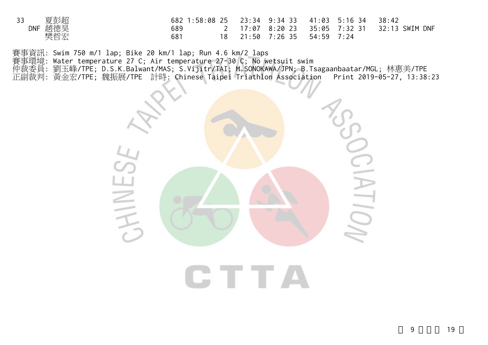| 夏彭超               | 682 1:58:08 25  23:34  9:34  33  41:03  5:16  34 |               |            | 38:42                                        |
|-------------------|--------------------------------------------------|---------------|------------|----------------------------------------------|
| 趙德昊<br><b>DNF</b> | 689                                              |               |            | 2 17:07 8:20 23 35:05 7:32 31 32:13 SWIM DNF |
| 樊哲宏               | 681                                              | 21:50 7:26 35 | 54:59 7:24 |                                              |

賽事資訊: Swim 750 m/1 lap; Bike 20 km/1 lap; Run 4.6 km/2 laps

賽事環境: Water temperature 27 C; Air temperature 27-30 C; No wetsuit swim

仲裁委員: 劉玉峰/TPE; D.S.K.Balwant/MAS; S.Vijitr/TAI; M.SONOKAWA/JPN; B.Tsagaanbaatar/MGL; 林惠美/TPE 正副裁判: 黃金宏/TPE; 魏振展/TPE 計時: Chinese Taipei Triathlon Association Print 2019-05-27, 13:38:23

 $\frac{1}{2}$ HINES  $\geq$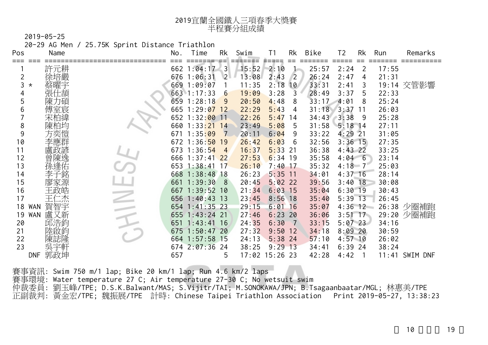| 2019宜蘭全國鐵人三項春季大獎賽 |
|-------------------|
| 半程賽分組成績           |

20-29 AG Men / 25.75K Sprint Distance Triathlon

| Pos           | Name | No. | Time            | Rk                      | Swim           | T <sub>1</sub> | Rk             | Bike           | T <sub>2</sub><br>$=$ $=$ $=$ $=$ $=$ | Rk<br>$=$ | Run   | Remarks          |
|---------------|------|-----|-----------------|-------------------------|----------------|----------------|----------------|----------------|---------------------------------------|-----------|-------|------------------|
|               | 許元耕  |     | 662 1:04:17     | $\overline{\mathbf{3}}$ | 15:52          | 2:10           |                | 25:57          | 2:24                                  | 2         | 17:55 |                  |
|               | 徐培嚴  |     | 676 1:06:31     | 2 <sup>1</sup>          | 13:08          | 2:43           | $\sqrt{2}$     | 26:24          | 2:47                                  | 4         | 21:31 |                  |
| 3<br>$^\star$ |      |     | 669 1:09:07     |                         | 11:35          | 2:18           | 10             | 33:31          | 2:41                                  | 3         |       | 19:14 交管影響       |
|               |      |     | 663 1:17:33     | $6\overline{6}$         | 19:09          | 3:28           | $\mathbf{3}$   | 28:49          | 3:37                                  | 5         | 22:33 |                  |
|               |      |     | 659 1:28:18     | 9                       | 20:50          | 4:48           | 8              | 33:17          | 4:01                                  | 8         | 25:24 |                  |
| 6             |      |     | 665 1:29:07 12  |                         | 22:29          | 5:43           | 4              | 31:18          | $3:37$ 11                             |           | 26:03 |                  |
|               |      |     | 652 1:32:00     | $\overline{11}$         | 22:26          | 5:47           | 14             | $34:43$ $3:38$ |                                       | -9        | 25:28 |                  |
| 8             |      |     | $660$ 1:33:21   | 14                      | 23:49          | 5:08           | 5              | 31:58          | $5:18$ 14                             |           | 27:11 |                  |
| 9             |      | 671 | 1:35:09         | $\overline{7}$          | 20:11          | 6:04           | 9              | 33:22          | $4:29$ 21                             |           | 31:05 |                  |
| 10            |      |     | $672$ 1:36:50   | 19                      | 26:42          | 6:03           | 6              | 32:56          | $3:36$ 15                             |           | 27:35 |                  |
| 11            |      |     | 673 1:36:54     | $\overline{4}$          | 16:37          | 5:33           | -21            | 36:38          | $4:43$ 22                             |           | 33:25 |                  |
| 12            |      |     | 666 1:37:41     | 22                      | 27:53          | $6:34$ 19      |                | 35:58          | $4:04 \quad 6$                        |           | 23:14 |                  |
| 13            |      |     | $653$ 1:38:41   | 17                      | 26:10          | $7:40$ 17      |                | 35:32          | $4:18$ 7                              |           | 25:03 |                  |
| 14            |      |     | 668 1:38:48 18  |                         | 26:23          | $5:35$ 11      |                | 34:01          | $4:37$ 16                             |           | 28:14 |                  |
| 15            | 家源   |     | 661 1:39:30     | - 8                     | 20:45          | $5:02$ 22      |                | 39:56          | $3:40$ 18                             |           | 30:08 |                  |
| 16            |      |     | 667 1:39:52 10  |                         | 21:34          | 6:03           | 15             | 35:04          | $6:30$ 19                             |           | 30:43 |                  |
| 17            | ニ杰   |     | 656 1:40:43 13  |                         | 23:45          | $8:56$ 18      |                | 35:40          | $5:39$ 13                             |           | 26:45 |                  |
| 18<br>WAN     | 賀智宇  |     | 654 1:41:35 23  |                         | 29:15          | 6:01           | 16             | 35:07          | $4:36$ 12                             |           |       | 26:38 少圈補跑       |
| 19<br>WAN     | 盧又新  |     | 655 1:43:24 21  |                         | 27:46          | 6:23           | 20             | 36:06          | $3:51 \; 17$                          |           |       | 29:20 少圈補跑       |
| 20            | 邱浩鈞  |     | 651 1:43:41 16  |                         | 24:35          | 6:30           | $\overline{7}$ | 33:15          | $5:07$ 23                             |           | 34:16 |                  |
| 21            |      |     | 675 1:50:47 20  |                         | 27:32          | 9:50           | 12             | 34:18          | 8:0920                                |           | 30:59 |                  |
| 22            |      |     | 664 1:57:58 15  |                         | 24:13          | $5:38$ 24      |                | 57:10          | $4:57$ 10                             |           | 26:02 |                  |
| 23            |      |     | $674$ $2:07:36$ | 24                      | 38:25          | $9:29$ 13      |                | 34:41          | $6:39$ 24                             |           | 38:24 |                  |
| <b>DNF</b>    | 郭政坤  | 657 |                 | 5                       | 17:02 15:26 23 |                |                | 42:28          | 4:42                                  |           |       | $11:41$ SWIM DNF |

賽事資訊: Swim 750 m/1 lap; Bike 20 km/1 lap; Run 4.6 km/2 laps 賽事環境: Water temperature 27 C; Air temperature 27-30 C; No wetsuit swim 仲裁委員: 劉玉峰/TPE; D.S.K.Balwant/MAS; S.Vijitr/TAI; M.SONOKAWA/JPN; B.Tsagaanbaatar/MGL; 林惠美/TPE 正副裁判: 黃金宏/TPE; 魏振展/TPE 計時: Chinese Taipei Triathlon Association Print 2019-05-27, 13:38:23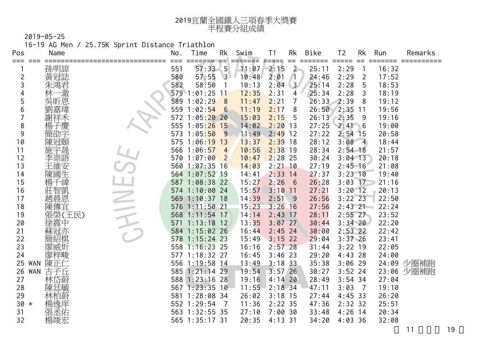| 2019宜蘭全國鐵人三項春季大獎賽 |
|-------------------|
| 半程賽分組成績           |

16-19 AG Men / 25.75K Sprint Distance Triathlon

| Pos                 | Name              | No. | Time             | Rk              | Swim            | T1            | Rk                           | Bike           | T <sub>2</sub>              | Rk                  | Run   | Remarks    |
|---------------------|-------------------|-----|------------------|-----------------|-----------------|---------------|------------------------------|----------------|-----------------------------|---------------------|-------|------------|
| === ===             |                   | 551 |                  |                 | ======<br>11:07 | ≢=≄==<br>2:15 | $==$<br>$2 -$                | ====<br>25:11  | $=$ $=$ $=$ $=$ $=$<br>2:29 | $==$                | 16:32 |            |
|                     | 孫明諒<br>黃冠誌        | 580 | 57:33:5<br>57:55 | $\overline{3}$  | 10:48           | 2:01          |                              | 24:46          | 2:29                        |                     | 17:52 |            |
| $\overline{2}$<br>3 | 朱鴻君               | 582 | 58:50            | $\overline{1}$  | 10:13           | 2:04          | $\sqrt{1}$<br>3 <sup>7</sup> | 25:14          | 2:28                        | $\overline{2}$<br>5 | 18:53 |            |
| 4                   | −澈                |     | 579 1:01:25      | 11              | 12:35           | 2:31          | 4                            | 25:34          | 2:28                        | 3                   | 18:19 |            |
| 5                   |                   |     | 589 1:02:29      | 8               | 11:47           | 2:21          | $\overline{7}$               | 26:33          | 2:39                        | 8                   | 19:12 |            |
| 6                   |                   |     | 559 1:02:54      | $6\overline{6}$ | 11:19           | 2:17          | 8                            | 26:50          | $2:35$ 11                   |                     | 19:56 |            |
|                     | 謝祥禾               | 572 | 1:05:20          | 20              | 15:03           | 2:15          | 5                            | $26:13$ $2:35$ |                             | 9                   | 19:16 |            |
| 8                   | 楊子慶               |     | 555 1:05:26 15   |                 | 14:02           | 2:20          | 13                           | 27:25          | 2:41                        | 6                   | 19:00 |            |
| 9                   | 簡劭字               |     | 573 1:05:50      | 9               | 11:49           | 2:49          | 12                           | 27:22          | $2:54$ 15                   |                     | 20:58 |            |
| 10                  | 陳冠頤               |     | 575 1:06:19      | 13              | 13:37           | 2:39          | 18                           | 28:12          | $3:08$ 4                    |                     | 18:44 |            |
| 11                  | 施宇晟               |     | 566 1:06:57      | $\overline{4}$  | 10:56           | $2:38$ 19     |                              | 28:34          | $2:54$ 18                   |                     | 21:57 |            |
| 12                  | 李崇語               |     | 570 1:07:00      | $\overline{2}$  | 10:47           | $2:28$ 25     |                              | 30:24          | $3:04$ 13                   |                     | 20:18 |            |
| 13                  | 王維安               |     | 560 1:07:35 16   |                 | 14:03           | $2:21$ 10     |                              | 27:19          | $2:45$ 16                   |                     | 21:08 |            |
| 14                  | 陳國生               |     | 564 1:07:52 19   |                 | 14:41           | $2:33$ 14     |                              | 27:37          | $3:23$ 10                   |                     | 19:40 |            |
| 15                  | 戶緯                |     | 587 1:08:38 22   |                 | 15:27           | 2:26          | 6                            | 26:28          | $3:03$ 17                   |                     | 21:16 |            |
| 16                  | 莊智凱               |     | 574 1:10:00 24   |                 | 15:57           | 3:10          | 11                           | 27:21          | $3:20$ 12                   |                     | 20:13 |            |
| 17                  | 趙晨恩               |     | 569 1:10:37 18   |                 | 14:39           | 2:51          | 9                            | 26:56          | $3:22$ 23                   |                     | 22:50 |            |
| 18                  | 陳傳宜               | 576 | $1:11:50$ 21     |                 | 15:23           | 3:26          | 16                           | 27:56          | $2:43$ 21                   |                     | 22:24 |            |
| 19                  | 張棨(王民)            |     | 568 1:11:54 17   |                 | 14:14           | 2:43          | 17                           | 28:11          | $2:55$ 27                   |                     | 23:52 |            |
| 20                  | 徐震中               | 571 | 1:13:18          | 12              | 13:35           | $3:07$ 27     |                              | 30:44          | $3:34$ 20                   |                     | 22:20 |            |
| 21                  | 蘇冠亦               |     | 584 1:15:02 26   |                 | 16:44           | $2:45$ 24     |                              | 30:00          | $2:53$ 22                   |                     | 22:42 |            |
| 22                  | 簡紹棋               |     | 578 1:15:24 23   |                 | 15:49           | $3:15$ 22     |                              | 29:04          | $3:37$ 26                   |                     | 23:41 |            |
| 23                  | 廖威炘               |     | 558 1:16:23 25   |                 | 16:16           | $2:57$ 28     |                              | 31:44          | $3:22$ 19                   |                     | 22:05 |            |
| 24                  | 廖梓畯               |     | 577 1:18:32 27   |                 | 16:45           | $3:46$ 23     |                              | 29:20          | $4:43$ 28                   |                     | 24:00 |            |
| 25                  | 陳正仁<br><b>WAN</b> | 556 | $1:19:58$ 14     |                 | 13:49           | $3:18$ 33     |                              | 35:38          | $3:06$ 29                   |                     |       | 24:09 少圈補跑 |
| 26                  | <b>WAN</b><br>古子丘 |     | 585 1:21:14 29   |                 | 19:54           | $3:57$ 26     |                              | 30:27          | $3:52$ 24                   |                     |       | 23:06 少圈補跑 |
| 27                  | 林岱蔚               |     | 588 1:23:16      | 28              | 19:16           | $4:14$ 20     |                              | 28:49          | $3:54$ 34                   |                     | 27:04 |            |
| 28                  | 陳廷毓               |     | 567 1:23:35 10   |                 | 11:55           | $2:18$ 34     |                              | 47:11          | 3:03                        | $\overline{7}$      | 19:10 |            |
| 29                  | 林柏蔚               |     | 581 1:28:08 34   |                 | 26:02           | $3:18$ 15     |                              | 27:44          | $4:45$ 33                   |                     | 26:20 |            |
| $30 *$              | 楊逸庠               |     | 552 1:29:54      | $\overline{7}$  | 11:36           | $2:22$ 35     |                              | 47:36          | $2:32$ 32                   |                     | 25:51 |            |
| 31                  | 張丞佑               |     | 563 1:32:55 35   |                 | 27:10           | 7:0030        |                              | 33:48          | $4:26$ 14                   |                     | 20:34 |            |
| 32                  | 楊竣宏               |     | 565 1:35:17 31   |                 | 20:35           | $4:13$ 31     |                              | 34:20          | $4:03$ 36                   |                     | 32:08 |            |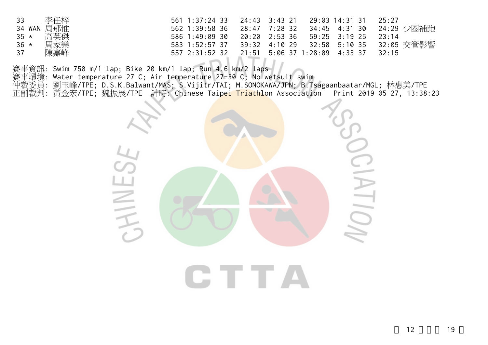| 李仟梓<br>33     |                |                                          |  | 25:27 |
|---------------|----------------|------------------------------------------|--|-------|
| 34 WAN 周郁惟    | 562 1:39:58 36 |                                          |  |       |
| 高英傑<br>$35 *$ | 586 1:49:09 30 | 20:20 2:53 36 59:25 3:19 25              |  | 23:14 |
| 周家樂<br>$36 *$ | 583 1:52:57 37 | 39:32 4:10 29  32:58 5:10 35  32:05 交管影響 |  |       |
| 陳嘉峰<br>37     |                |                                          |  | 32:15 |

賽事資訊: Swim 750 m/1 lap; Bike 20 km/1 lap; Run 4.6 km/2 laps

賽事環境: Water temperature 27 C; Air temperature 27-30 C; No wetsuit swim

仲裁委員: 劉玉峰/TPE; D.S.K.Balwant/MAS; S.Vijitr/TAI; M.SONOKAWA/JPN; B.Tsagaanbaatar/MGL; 林惠美/TPE 正副裁判: 黃金宏/TPE; 魏振展/TPE 計時: Chinese Taip<mark>ei Triathl</mark>on Association Print 2019-05-27, 13:38:23

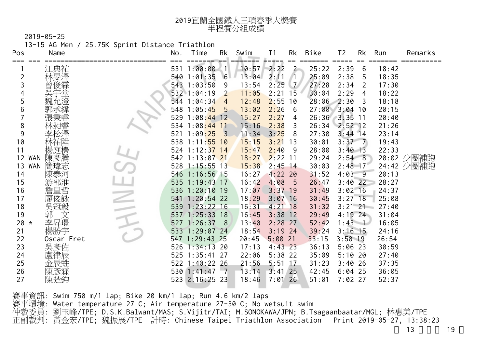| 2019宜蘭全國鐵人三項春季大獎賽 |
|-------------------|
| 半程賽分組成績           |

13-15 AG Men / 25.75K Sprint Distance Triathlon

| Pos                                                                                                                                                         | Name                                                                                                                                | No. | Time                                                                                                                                                                                                                                                                                                                                                                                                                                      | Rk                                                                                            | Swim                                                                                                                                                                                                                          | T <sub>1</sub>                                                                                                                                                                                                                                                             | Rk                                                                                        | Bike                                                                                                                                                                                                                                  | T <sub>2</sub>                                                                                                                                                                                                                                                                                                     | Rk                            | Run                                                                                                                                                                                                         | Remarks                  |
|-------------------------------------------------------------------------------------------------------------------------------------------------------------|-------------------------------------------------------------------------------------------------------------------------------------|-----|-------------------------------------------------------------------------------------------------------------------------------------------------------------------------------------------------------------------------------------------------------------------------------------------------------------------------------------------------------------------------------------------------------------------------------------------|-----------------------------------------------------------------------------------------------|-------------------------------------------------------------------------------------------------------------------------------------------------------------------------------------------------------------------------------|----------------------------------------------------------------------------------------------------------------------------------------------------------------------------------------------------------------------------------------------------------------------------|-------------------------------------------------------------------------------------------|---------------------------------------------------------------------------------------------------------------------------------------------------------------------------------------------------------------------------------------|--------------------------------------------------------------------------------------------------------------------------------------------------------------------------------------------------------------------------------------------------------------------------------------------------------------------|-------------------------------|-------------------------------------------------------------------------------------------------------------------------------------------------------------------------------------------------------------|--------------------------|
| $\overline{2}$<br>5<br>6<br>8<br>9<br>10<br>11<br>WAN<br>12<br>WAN<br>13<br>14<br>15<br>16<br>17<br>18<br>19<br>20<br>$\star$<br>21<br>22<br>23<br>24<br>25 | 江典祐<br>林旻澤<br>俊霖<br>楊庭榛<br>陳彥騰<br>簡瑋志<br>陳泰河<br>游邵淮<br>詹皇哲<br>廖俊詠<br>吳冠毅<br>郭<br>文<br>李昇璟<br>楊勝宇<br>Oscar Fret<br>吳彥佐<br>盧律辰<br>金辰甡 |     | 531 1:00:00<br>540 1:01:35 6<br>543 1:03:50<br>532 1:04:19<br>544 1:04:34<br>548 1:05:45<br>529 1:08:44 12<br>534 1:08:44<br>$521 \t1:09:25 \t3$<br>538 1:11:55 10<br>524 1:12:37 14<br>542 1:13:07 21<br>$528$ 1:15:55 13<br>546 1:16:56 15<br>535 1:19:43 17<br>536 1:20:10 19<br>541 1:20:54 22<br>539 1:23:22 16<br>537 1:25:33 18<br>527 1:26:37<br>533 1:29:07 24<br>547 1:29:43<br>526 1:34:13 20<br>525 1:35:41<br>522 1:40:22 26 | 4. IV<br>- 9<br>$\overline{2}$<br>$\overline{4}$<br>$-5$<br>11<br>8 <sup>8</sup><br>25<br>-27 | 10:57<br>13:04<br>13:54<br>11:05<br>12:48<br>13:02<br>15:27<br>15:16<br>11:34<br>15:15<br>15:47<br>18:27<br>15:38<br>16:27<br>16:42<br>17:07<br>18:29<br>16:31<br>16:45<br>13:40<br>18:54<br>20:45<br>17:13<br>22:06<br>21:56 | ====<br>2:22<br>2:11<br>2:25<br>2:21<br>2:55<br>2:26<br>2:27<br>2:38<br>3:25<br>3:21<br>2:40<br>$2:22$ 11<br>$2:45$ 14<br>$4:22$ 20<br>4:08<br>$3:37$ 19<br>$3:07$ 16<br>$4:21$ 18<br>$3:38$ 12<br>$2:28$ 27<br>$3:19$ 24<br>5:0021<br>$4:43$ 23<br>$5:38$ 22<br>$5:51$ 17 | $\overline{2}$<br>71.<br>$\mathcal{L}$<br>15<br>10<br>6<br>4<br>3<br>8<br>13<br>-9<br>- 5 | 25:22<br>25:09<br>27:28<br>30:04<br>28:06<br>27:00<br>26:36 3:35 11<br>26:34<br>27:30<br>30:01<br>28:00<br>29:24<br>30:03<br>31:52<br>26:47<br>31:49<br>30:45<br>31:32<br>29:49<br>52:42<br>39:24<br>33:15<br>36:13<br>35:09<br>31:23 | $=====$<br>2:39<br>2:38<br>2:34<br>2:29<br>2:30<br>$3:04$ 10<br>$2:52$ 12<br>$3:44$ 14<br>$3:37 \quad 7$<br>$3:40$ 13<br>$2:54$ 8<br>$2:48$ 17<br>$4:03$ 9<br>$3:40$ 22<br>$3:02 \ 16$<br>$3:27$ 18<br>$3:21 \ 21$<br>$4:19$ 24<br>$1:43 \quad 1$<br>$3:16$ 15<br>$3:50$ 19<br>$5:06$ 23<br>$5:10$ 20<br>$3:40$ 26 | $==$<br>6<br>5<br>2<br>4<br>3 | 18:42<br>18:35<br>17:30<br>18:22<br>18:18<br>20:15<br>20:40<br>21:26<br>23:14<br>19:43<br>22:33<br>20:13<br>28:27<br>24:37<br>25:08<br>27:40<br>31:04<br>16:05<br>24:16<br>26:54<br>30:59<br>27:40<br>37:35 | 20:02 少圈補跑<br>24:42 少圈補跑 |
| 26<br>27                                                                                                                                                    | 陳彥霖<br>陳楚鈞                                                                                                                          |     | 530 1:41:47 7<br>523 2:16:25 23                                                                                                                                                                                                                                                                                                                                                                                                           |                                                                                               | 13:14<br>18:46                                                                                                                                                                                                                | $3:41$ 25<br>$7:01$ 26                                                                                                                                                                                                                                                     |                                                                                           | 42:45<br>51:01                                                                                                                                                                                                                        | $6:04$ 25<br>$7:02$ 27                                                                                                                                                                                                                                                                                             |                               | 36:05<br>52:37                                                                                                                                                                                              |                          |
|                                                                                                                                                             |                                                                                                                                     |     |                                                                                                                                                                                                                                                                                                                                                                                                                                           |                                                                                               |                                                                                                                                                                                                                               |                                                                                                                                                                                                                                                                            |                                                                                           |                                                                                                                                                                                                                                       |                                                                                                                                                                                                                                                                                                                    |                               |                                                                                                                                                                                                             |                          |

賽事資訊: Swim 750 m/1 lap; Bike 20 km/1 lap; Run 4.6 km/2 laps 賽事環境: Water temperature 27 C; Air temperature 27-30 C; No wetsuit swim 仲裁委員: 劉玉峰/TPE; D.S.K.Balwant/MAS; S.Vijitr/TAI; M.SONOKAWA/JPN; B.Tsagaanbaatar/MGL; 林惠美/TPE 正副裁判: 黃金宏/TPE; 魏振展/TPE 計時: Chinese Taipei Triathlon Association Print 2019-05-27, 13:38:23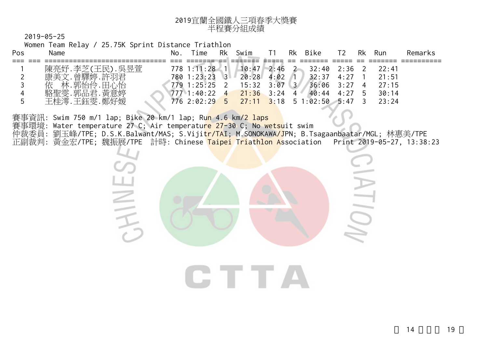| 2019宜蘭全國鐵人三項春季大獎賽 |
|-------------------|
| 半程賽分組成績           |

Women Team Relay / 25.75K Sprint Distance Triathlon

CHINE.

| Pos | Name             |           | No. | ime           | Rk             | Swim  |      | Rk       | Bike     | T2.  | Rk | Run   | Remarks |
|-----|------------------|-----------|-----|---------------|----------------|-------|------|----------|----------|------|----|-------|---------|
|     |                  |           |     |               |                |       |      |          |          |      |    |       |         |
|     | .李芝(<br>陳亮妤      | (王民). 吳昱萱 |     | $778$ 1:11:28 |                | 10:47 | 2:46 |          | 32:40    | 2:36 |    | 22:41 |         |
|     | 美文<br>康          | 曾驛婷.許羽君   |     | 780 1:23:23   | 3 <sup>1</sup> | 20:28 | 4:02 |          | 32:37    | 4:27 |    | 21:51 |         |
|     | 林<br>.郭怡伶.「<br>依 | 田心怡       |     | 779 1:25:25   |                | 15:32 | 3:07 | $\sim$ 3 | 36:06    | 3:27 |    | 27:15 |         |
|     | : -郭品君<br>駱聖零    | 黃意婷       |     | 7771:40:22    | $\overline{4}$ | 21:36 | 3:24 | 4        | 40:44    | 4:27 | h  | 30:14 |         |
|     | 王桂澪.             | 王鈺雯.鄭好媛   |     | 7762:02:295   |                | 27:11 | 3:18 |          | 51:02:50 | 5:47 |    | 23:24 |         |

賽事資訊: Swim 750 m/1 lap; Bike 20 km/1 lap; Run 4.6 km/2 laps 賽事環境: Water temperature 27 C; Air temperature 27-30 C; No wetsuit swim 仲裁委員: 劉玉峰/TPE; D.S.K.Balwant/MAS; S.Viji<mark>tr/TAI; M.SONOKAWA/J</mark>PN; B.Tsagaanbaatar/MGL; 林惠美/TPE 正副裁判: 黃金宏/TPE; 魏振展/TPE 計時: Chinese <mark>Taipei Triathlon As</mark>sociation Print 2019-05-27, 13:38:23

CTTA

 $211$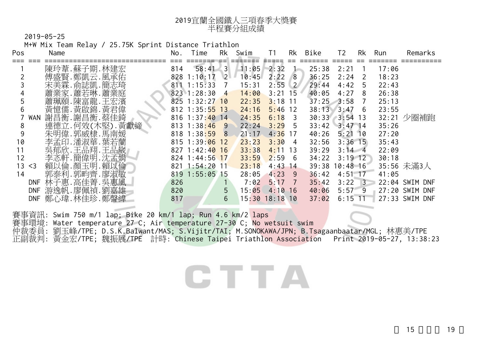| 2019宜蘭全國鐵人三項春季大獎賽 |
|-------------------|
| 半程賽分組成績           |

M+W Mix Team Relay / 25.75K Sprint Distance Triathlon

| Pos         | Name           | No. | Time             | Rk                | Swim  |       | Rk         | Bike              | T2         | Rk    | Run   | Remarks        |
|-------------|----------------|-----|------------------|-------------------|-------|-------|------------|-------------------|------------|-------|-------|----------------|
|             | 陳玲葦.蘇子期.林建宏    | 814 | 58:41            | $\lceil 3 \rceil$ | 11:05 | 2:32  |            | 25:38             | 2:21       |       | 17:06 |                |
|             | 傅盛賢.鄭凱云.風承佑    | 828 | 1:10:17          | 2                 | 10:45 | 2:22  | 8          | 36:25             | 2:24       |       | 18:23 |                |
|             | 宋美霖.俞誌凱.簡志琦    | 811 | 1:15:33          |                   | 15:31 | 2:55  | $\sqrt{2}$ | 29:44             | 4:42       | 5     | 22:43 |                |
|             | 蕭業家.蕭若琳.蕭業庭    |     | $823$ 1:28:30    | $\overline{4}$    | 14:00 | 3:21  | 15         | 40:05             | 4:27       | 8     | 26:38 |                |
|             | 蕭珮頤.陳富龍.王宏濱    |     | $825$ 1:32:27 10 |                   | 22:35 | 3:18  | 11         | 37:25             | $-3:58$    |       | 25:13 |                |
|             | 黃憶儒.黃啟錦.黃君偉    |     | 812 1:35:55 13   |                   | 24:16 | 5:46  | 12         | 38:13             | 3:47       | 6     | 23:55 |                |
| WAN         | 謝昌衡. 謝昌衡. 蔡佳錡  |     | $816$ 1:37:40 14 |                   | 24:35 | 6:18  | 3          | $30:33$ $3:54$ 13 |            |       | 32:21 | 少圈補跑           |
| 8           | 連德立.何效(木堅).黃獻締 |     | $813 \t1:38:46$  | -9                | 22:24 | 3:29  | 5          | 33:42             | $3:47$ 14  |       | 35:26 |                |
| 9           | 朱明偉. 郭威棣. 馬南媛  |     | $818$ 1:38:59    | <sup>8</sup>      | 21:17 | 4:36  | 17         | 40:26             | 5:21       | 10    | 27:20 |                |
| 10          | 李孟印.潘淑華.葉若蘭    |     | $815 \t1:39:06$  | 12                | 23:23 | 3:30  | 4          | 32:56             | $3:36$ 15  |       | 35:43 |                |
|             | 吳郁欣.王品翔.王品崴    |     | $827$ 1:42:40 16 |                   | 33:38 | 4:11  | 13         | 39:29             | $3:14$ 4   |       | 22:09 |                |
| 12          | 李忞軒.簡偉明.沈孟娟    |     | $824$ 1:44:56    | $\sqrt{17}$       | 33:59 | 2:59  | 6          | 34:22             | $3:19$ 12  |       | 30:18 |                |
| 13<br>$<$ 3 | 賴以倫.顏玉明.賴以倫    | 821 | 1:54:20          | -11               | 23:18 | 4:43  | 14         | 39:38             | $10:48$ 16 |       |       | 35:56 未滿3人     |
| 14          | 郭泰利.郭畇齊.廖淑敏    | 819 | 1:55:05          | <sup>15</sup>     | 28:05 | 4:23  | 9          | 36:42             | 4:51       | $-17$ | 41:05 |                |
| <b>DNF</b>  | 林子惠.高佳菁.吳惠風    | 826 |                  |                   | 7:02  | 5:17  |            | 35:42             | 3:22       | З.    |       | 22:04 SWIM DNF |
| <b>DNF</b>  | 游逸帆.廖佩禎.劉嘉雄    | 820 |                  | 5                 | 15:05 | 4:10  | 16         | 40:06             | 5:57       | -9    |       | 27:20 SWIM DNF |
| DNF         | 鄭心瑋.林佳珍.鄭聲緯    | 817 |                  | 6                 | 15:30 | 18:18 | 10         | 37:02             | $6:15$ 11  |       |       | 27:33 SWIM DNF |

賽事資訊: Swim 750 m/1 lap; Bike 20 km/1 lap; Run 4.6 km/2 laps 賽事環境: Water temperature 27 C; Air temperature 27-30 C; No wetsuit swim 仲裁委員: 劉玉峰/TPE; D.S.K.Balwant/MAS; S.Vijitr/TAI; M.SONOKAWA/JPN; B.Tsagaanbaatar/MGL; 林惠美/TPE 正副裁判: 黃金宏/TPE; 魏振展/TPE 計時: Chinese Taipei Triathlon Association - Print 2019-05-27, 13:38:23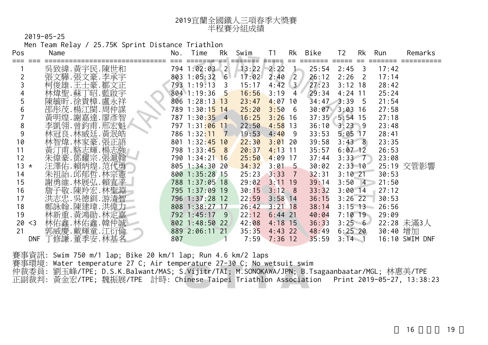| 2019宜蘭全國鐵人三項春季大獎賽 |
|-------------------|
| 半程賽分組成績           |

Men Team Relay / 25.75K Sprint Distance Triathlon

| Pos           | Name                      | No. | Rk<br>Time     | Swim         | T1               | Bike<br>Rk               | T <sub>2</sub><br>Rk                  | Run      | Remarks        |
|---------------|---------------------------|-----|----------------|--------------|------------------|--------------------------|---------------------------------------|----------|----------------|
|               | 吳致緯.黃宇民.陳世和               |     | 794 1:02:03 2  | $13:22$ 2:22 |                  | $\sim$                   | ====== ===== == =<br>$25:54$ $2:45$ 3 | 17:42    |                |
|               | 張文驊.張文豪.李承宇               |     | 803 1:05:32 6  | 17:02        | 2:40             | 26:12<br>$\sqrt{2}$      | 2:26<br>$\overline{\phantom{0}}^2$    | 17:14    |                |
|               | 柯俊雄.王士豪.鄒文正               |     | 793 1:19:13 3  | 15:17        | $4:42 \quad 3$   | 27:23                    | $3:12$ 18                             | 28:42    |                |
|               | 林煒聖.蘇丁昭.藍啟宇               |     | 804 1:19:36 5  | 16:56        | 3:19             | 29:34<br>4               | $4:24$ 11                             | 25:24    |                |
| 5             | 陳毓昕.徐貴樟.盧永祥               |     | 806 1:28:13 13 | 23:47        | 4:07             | 10                       | $34:47$ $3:39$ 5                      | 21:54    |                |
| 6             | 邵彤茂.楊江閩.周仲謀               |     | 789 1:30:15 14 | 25:20        | 3:50             | - 6                      | $30:07$ $3:03$ 16                     | 27:58    |                |
|               | 黃明煌.謝嘉達.廖彥智               |     | 787 1:30:35 4  | 16:25        | 3:26             | 16                       | $37:35$ 5:54 15                       | 27:18    |                |
| 8             | 李凱翎.曾鈞甫.邢宏魁               |     | 797 1:31:06 11 | 22:50        | $4:58$ 13        |                          | $36:10$ $3:23$ 9                      | 23:48    |                |
| 9             | 林冠良.林威廷.黃泯皓               |     | 786 1:32:11 7  | 19:53        | 4:40             | - 9<br>33:53             | $5:05$ 17                             | 28:41    |                |
| 10            | 林智煒.林家豪.張正語               |     | 801 1:32:45 10 | 22:30        | $3:01$ 20        | 39:58                    | $3:43 \ 8$                            | 23:35    |                |
| 11            | 黃汀甫.駱志輝.楊志強               |     | 798 1:33:45 8  | 20:37        | 4:13             | 11<br>35:57              | $6:07$ 12                             | 26:53    |                |
| 12            | 朱偉豪.鄧耀宗.張滬翰               |     | 790 1:34:21 16 | 25:50        | $4:09$ 17        | 37:44                    | $3:33 - 7$                            | 23:08    |                |
| 13<br>$\star$ | 汪澤佑.賴炳煌.范代勇               |     | 805 1:34:30 20 | 34:32        | 3:01             | 30:02<br>$5\overline{)}$ | $2:33 \; 10$                          |          | 25:19 交管影響     |
| 14            | 朱祖語. 邱郁哲. 林宗憲             |     | 800 1:35:28 15 | 25:23        | 3:33             | 32:31<br>$\overline{7}$  | $3:10$ 21                             | 30:53    |                |
| 15            | 謝勇維.林展弘.賴宜平               |     | 788 1:37:05 18 | 29:02        | $3:11$ 19        | 39:14                    | $3:50$ 4                              | 21:50    |                |
| 16            | 詹子敬.陳羚宏.林聖淵               |     | 795 1:37:09 19 | 30:15        | 3:12             | 33:32<br>8 <sup>8</sup>  | $3:00$ 14                             | 27:12    |                |
| 17            | 洪志忠. 吳德釧. 游清智             |     | 796 1:37:28 12 | 22:59        | $3:58$ 14        | 36:15                    | $3:26$ 22                             | 30:53    |                |
| 18            | 鄭詠翰.陳建瑋.洪偉力               |     | 808 1:38:27 17 | 26:42        | $3:21$ 18        | 38:14                    | $3:15$ 13                             | 26:56    |                |
| 19            | 林新重. 黃鴻勛. 林定嘉             |     | 792 1:45:17 9  | 22:12        | $6:44$ 21        | 40:04                    | $7:10$ 19                             | 29:09    |                |
| 20            | 林佑鑫.林佑鑫.韓仲誠<br>$<$ 3      |     | 802 1:48:50 22 | 42:08        | $4:18$ 15        | 36:33                    | 3:256                                 |          | 22:28 未滿3人     |
| 21            | 郭威慶.戴輝童.江衍倫               |     | 889 2:06:11 21 | 35:35        | $4:43$ 22        | 48:49                    | $6:25$ 20                             | 30:40 增加 |                |
|               | 「修謙.董季安.林基名<br><b>DNF</b> | 807 |                |              | $7:59$ $7:36$ 12 | 35:59                    | $3:14 \quad 1$                        |          | 16:10 SWIM DNF |
|               |                           |     |                |              |                  |                          |                                       |          |                |

賽事資訊: Swim 750 m/1 lap; Bike 20 km/1 lap; Run 4.6 km/2 laps

賽事環境: Water temperature 27 C; Air temperature 27-30 C; No wetsuit swim

仲裁委員: 劉玉峰/TPE; D.S.K.Balwant/MAS; S.Vijitr/TAI; M.SONOKAWA/JPN; B.Tsagaanbaatar/MGL; 林惠美/TPE 正副裁判: 黃金宏/TPE; 魏振展/TPE 計時: Chinese Taipei Triathlon Association Print 2019-05-27, 13:38:23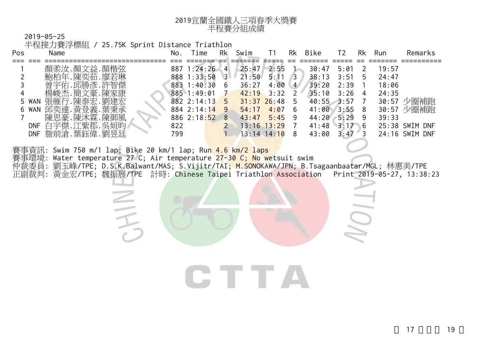| 2019宜蘭全國鐵人三項春季大獎賽 |
|-------------------|
| 半程賽分組成績           |

半程接力賽浮標組 / 25.75K Sprint Distance Triathlon

三千

|                                                                                                                                                                                                                                                                                                                                                                                                                                                                                                                                                                                                                          |                                                                       | Rk<br>Run<br>Remarks                                                                  |  |
|--------------------------------------------------------------------------------------------------------------------------------------------------------------------------------------------------------------------------------------------------------------------------------------------------------------------------------------------------------------------------------------------------------------------------------------------------------------------------------------------------------------------------------------------------------------------------------------------------------------------------|-----------------------------------------------------------------------|---------------------------------------------------------------------------------------|--|
| <u>.</u> .顏楷弦<br>顏柔汝.顏文益<br>887 1:24:26<br>25:47<br>2:55<br>30:47<br>$\mathbf{A}$<br>鮑柏年.陳奕茹.廖若琳<br>888 1:33:50<br>21:50<br>38:13<br>$3-$<br>5:11<br>曾宇佑.邱勝彥.許智傑<br>39:20<br>883 1:40:30<br>4:00<br>36:27<br>-6<br>$\overline{4}$<br>楊峻杰.簡文豪.陳家康<br>885 1:49:01<br>42:19<br>35:10<br>3:32<br>7.陳泰宏.劉建宏<br>張雁行.<br>$40:55$ 3:57<br>882 2:14:13<br>$31:37$ 26:48<br>-5<br>WAN<br>5<br>5.<br>黃登義.葉秉承<br>邱奕達.<br>884 2:14:14<br>4:07<br>41:00<br>6 WAN<br>-9.<br>54:17<br>6<br>陳思豪.陳沐霖.陳御風<br>$886$ 2:18:52<br>44:20<br>8<br>43:47<br>5:45<br>9<br>白宇傑.江紫郡.<br>.吳姮昀<br>822<br>41:48<br>DNF<br>$13:16$ $13:29$<br>詹前滄.葉鈺偉.劉昱廷 | 5:01<br>3:51<br>5<br>2:39<br>3:26<br>3:55<br>8<br>5:29<br>3:17<br>- 6 | 19:57<br>24:47<br>18:06<br>24:35<br>30:57<br>少圈補跑<br>30:57<br>39:33<br>25:38 SWIM DNF |  |

賽事資訊: Swim 750 m/1 lap; Bike 20 km/1 lap; Run 4.6 km/2 laps

賽事環境: Water temperature 27 C; Air temperature 27-30 C; No wetsuit swim

仲裁委員: 劉玉峰/TPE; D.S.K.Balwant/MAS; S.Vijitr/TAI; M.SONOKAWA/JPN; B.Tsagaanbaatar/MGL; 林惠美/TPE 正副裁判: 黃金宏/TPE; 魏振展/TPE 計時: Chinese Taipei Triathlon Association Print 2019-05-27, 13:38:23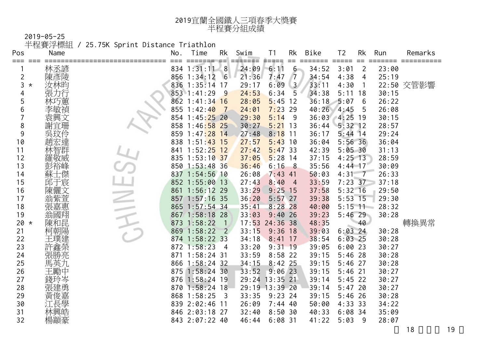| 2019宜蘭全國鐵人三項春季大獎賽 |
|-------------------|
| 半程賽分組成績           |

2019-05-25 半程賽浮標組 / 25.75K Sprint Distance Triathlon

| Pos           | Name            | No. | Time           | Rk                      | Swim  | T <sub>1</sub> | Rk             | Bike          | T <sub>2</sub> | Rk                       | Run   | Remarks    |
|---------------|-----------------|-----|----------------|-------------------------|-------|----------------|----------------|---------------|----------------|--------------------------|-------|------------|
| ===           | 林丞諺             |     | 834 1:31:11    | $-8$                    | 24:09 | ≢====<br>6:11  | $6 -$          | 34:52         | 3:01           | $\overline{2}$           | 23:00 |            |
| 2             | 陳彥陵             |     | $856$ 1:34:12  | 6                       | 21:36 | 7:47           | $\sqrt{7}$     | 34:54         | 4:38           | 4                        | 25:19 |            |
| 3<br>$^\star$ | 汝林昀             |     | 836 1:35:14 17 |                         | 29:17 | 6:09           | 3 <sup>7</sup> | 33:11         | 4:30           | $\overline{1}$           |       | 22:50 交管影響 |
| 4             | 張力行             |     | 853 1:41:29    | 9                       | 24:53 | 6:34           | 5              | 34:38         | $5:11$ 18      |                          | 30:15 |            |
| 5             | 林巧蕙             |     | 862 1:41:34 16 |                         | 28:05 | 5:45           | 12             | 36:18         | 5:07           | 6                        | 26:22 |            |
| 6             |                 |     | 855 1:42:40    | $\overline{7}$          | 24:01 | 7:23           | 29             | 40:26         | 4:45           | 5                        | 26:08 |            |
|               | 袁興文             |     | 854 1:45:25 20 |                         | 29:30 | 5:14           | 9              | 36:03 4:25 19 |                |                          | 30:15 |            |
| 8             | 謝宜珊             |     | 858 1:46:58 25 |                         | 30:27 | $5:21$ 13      |                | 36:44         | $5:32$ 12      |                          | 28:57 |            |
| 9             | 吳玟伶             |     | 859 1:47:28    | 14                      | 27:48 | 8:18           | 11             | 36:17         | $5:44$ 14      |                          | 29:24 |            |
| 10            |                 |     | 838 1:51:43    | 15                      | 27:57 | 5:43           | 10             | 36:04         | $5:56$ 36      |                          | 36:04 |            |
| 11            | 智群              |     | 841 1:52:25    | 12                      | 27:42 | $5:47$ 33      |                | 42:39         | 5:05.30        |                          | 31:13 |            |
| 12            | 羅敬威             |     | 835 1:53:10 37 |                         | 37:05 | $5:28$ 14      |                | 37:15         | $4:25$ 13      |                          | 28:59 |            |
| 13            | 彭裕峰             |     | 850 1:53:48 36 |                         | 36:46 | 6:16           | - 8            | 35:56         | $4:44$ 17      |                          | 30:09 |            |
| 14            |                 |     | 837 1:54:56 10 |                         | 26:08 | $7:43$ 41      |                | 50:03         | 4:31           | $\overline{\phantom{0}}$ | 26:33 |            |
| 15            | 邱于宸             |     | 852 1:55:00    | 13                      | 27:43 | 8:40           | $\overline{4}$ | 33:59         | $7:23$ 37      |                          | 37:18 |            |
| 16            |                 |     | 861 1:56:12 29 |                         | 33:29 | $9:25$ 15      |                | 37:58         | $5:32$ 16      |                          | 29:50 |            |
| 17            | ইয়ি<br>[茶亘     |     | 857 1:57:16 35 |                         | 36:20 | $5:57$ 27      |                | 39:38         | $5:53$ 15      |                          | 29:30 |            |
| 18            | 張嘉惠             |     | 865 1:57:54 34 |                         | 35:41 | $8:28$ 28      |                | 40:00         | $5:15$ 11      |                          | 28:32 |            |
| 19            | 翁國翔             |     | 867 1:58:18 28 |                         | 33:03 | 9:40           | 26             | 39:23         | $5:46$ 29      |                          | 30:28 |            |
| 20<br>$\star$ | 陳和昆             |     | 873 1:58:22    |                         |       | 17:53 24:36 38 |                | 48:35         |                | 40                       |       | 轉換異常       |
| 21            | 柯朝陽             |     | 869 1:58:22    | $\overline{2}$          | 33:15 | $9:36$ 18      |                | 39:03         | $6:03$ 24      |                          | 30:28 |            |
| 22            | 王璞建             |     | 874 1:58:22 33 |                         | 34:18 | $8:41$ 17      |                | 38:54         | $6:03$ 25      |                          | 30:28 |            |
| 23            | 一<br>許鑫榮<br>張勝亮 |     | $872$ 1:58:23  | $\overline{4}$          | 33:20 | $9:31$ 19      |                | 39:05         | 6:0023         |                          | 30:27 |            |
| 24            |                 |     | 871 1:58:24 31 |                         | 33:59 | $8:58$ 22      |                | 39:15         | $5:46$ 28      |                          | 30:28 |            |
| 25            | 馬英九             |     | 866 1:58:24 32 |                         | 34:15 | $8:42$ 25      |                | 39:15         | $5:46$ 27      |                          | 30:28 |            |
| 26            | 王勵中             |     | 875 1:58:24 30 |                         | 33:52 | $9:06$ 23      |                | 39:15         | $5:46$ 21      |                          | 30:27 |            |
| 27            | 錢玲岑             |     | 876 1:58:24 19 |                         |       | 29:24 13:35 21 |                | 39:14         | $5:45$ 22      |                          | 30:27 |            |
| 28            | 張建勇             |     | 870 1:58:24 18 |                         |       | 29:19 13:39 20 |                | 39:14         | $5:47$ 20      |                          | 30:27 |            |
| 29            | 黃俊嘉             |     | 868 1:58:25    | $\overline{\mathbf{3}}$ | 33:35 | $9:23$ 24      |                | 39:15         | $5:46$ 26      |                          | 30:28 |            |
| 30            | 江長學             |     | 839 2:02:46 11 |                         | 26:09 | $7:44$ 40      |                | 50:00         | 4:33.33        |                          | 34:22 |            |
| 31            |                 |     | 846 2:03:18    | 27                      | 32:40 | 8:50.30        |                | 40:33         | $6:08$ 34      |                          | 35:09 |            |
| 32            | 楊顓豪             |     | 843 2:07:22 40 |                         | 46:44 | $6:08$ 31      |                | 41:22         | 5:03           | -9                       | 28:07 |            |